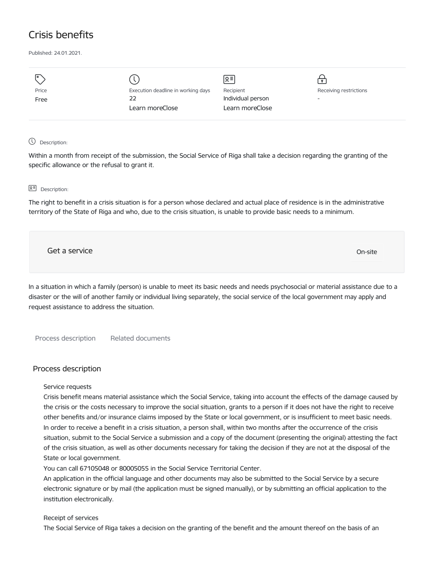# Crisis benefits

Published: 24.01.2021.

| I۰    |                                    | $Q \equiv$        | $\bullet$                |
|-------|------------------------------------|-------------------|--------------------------|
| Price | Execution deadline in working days | Recipient         | Receiving restrictions   |
| Free  | 22                                 | Individual person | $\overline{\phantom{0}}$ |
|       | Learn moreClose                    | Learn moreClose   |                          |
|       |                                    |                   |                          |

## Description:

Within a month from receipt of the submission, the Social Service of Riga shall take a decision regarding the granting of the specific allowance or the refusal to grant it.

## 요<sup>리</sup> Description:

The right to benefit in a crisis situation is for a person whose declared and actual place of residence is in the administrative territory of the State of Riga and who, due to the crisis situation, is unable to provide basic needs to a minimum.

Get a service On-site

In a situation in which a family (person) is unable to meet its basic needs and needs psychosocial or material assistance due to a disaster or the will of another family or individual living separately, the social service of the local government may apply and request assistance to address the situation.

Process description Related documents

## Process description

## Service requests

Crisis benefit means material assistance which the Social Service, taking into account the effects of the damage caused by the crisis or the costs necessary to improve the social situation, grants to a person if it does not have the right to receive other benefits and/or insurance claims imposed by the State or local government, or is insufficient to meet basic needs. In order to receive a benefit in a crisis situation, a person shall, within two months after the occurrence of the crisis situation, submit to the Social Service a submission and a copy of the document (presenting the original) attesting the fact of the crisis situation, as well as other documents necessary for taking the decision if they are not at the disposal of the State or local government.

You can call 67105048 or 80005055 in the Social Service Territorial Center.

An application in the official language and other documents may also be submitted to the Social Service by a secure electronic signature or by mail (the application must be signed manually), or by submitting an official application to the institution electronically.

## Receipt of services

The Social Service of Riga takes a decision on the granting of the benefit and the amount thereof on the basis of an